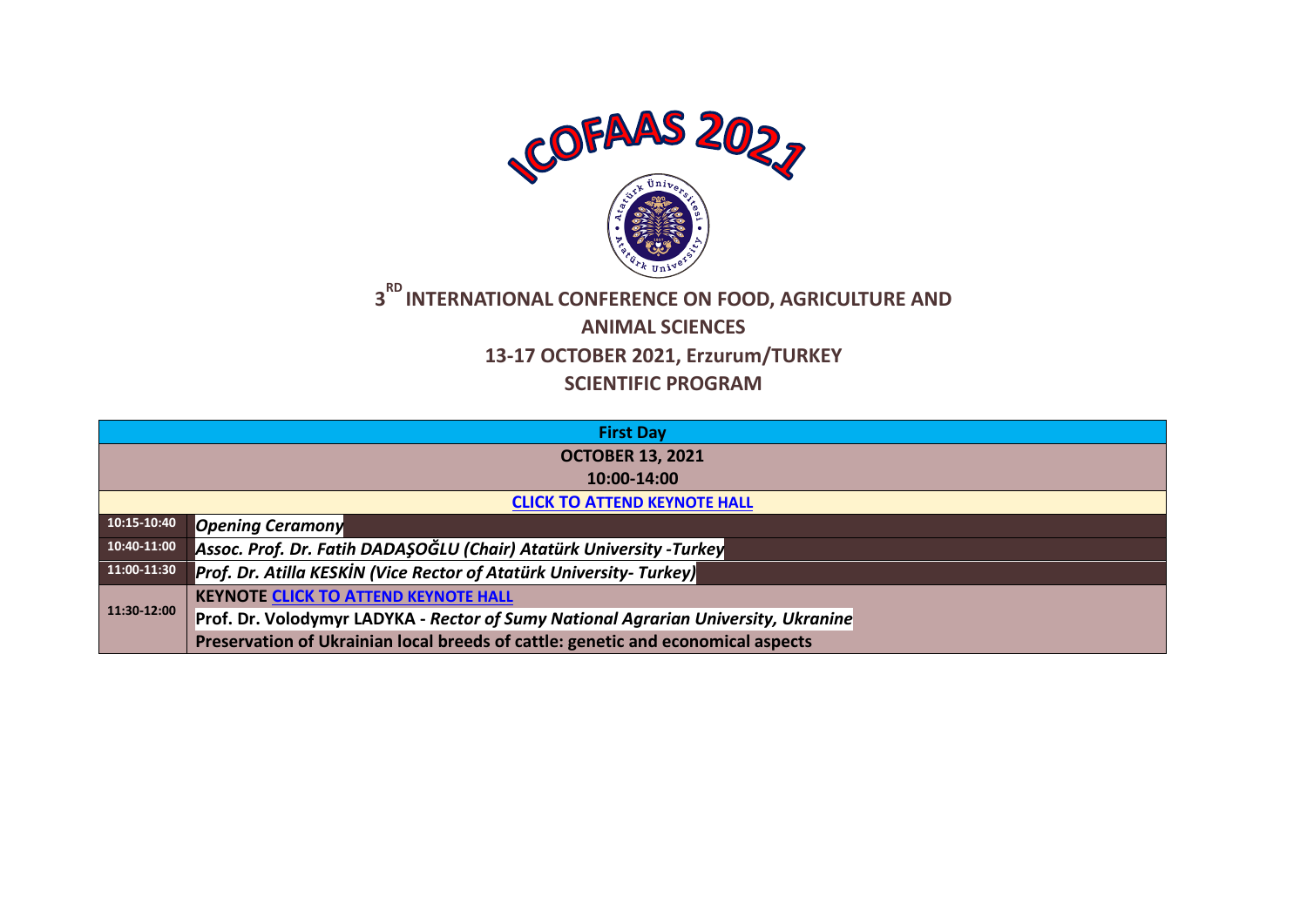

## **3 RD INTERNATIONAL CONFERENCE ON FOOD, AGRICULTURE AND ANIMAL SCIENCES 13-17 OCTOBER 2021, Erzurum/TURKEY SCIENTIFIC PROGRAM**

|             | <b>First Day</b>                                                                   |  |  |
|-------------|------------------------------------------------------------------------------------|--|--|
|             | <b>OCTOBER 13, 2021</b>                                                            |  |  |
|             | 10:00-14:00                                                                        |  |  |
|             | <b>CLICK TO ATTEND KEYNOTE HALL</b>                                                |  |  |
| 10:15-10:40 | <b>Opening Ceramony</b>                                                            |  |  |
| 10:40-11:00 | Assoc. Prof. Dr. Fatih DADAŞOĞLU (Chair) Atatürk University -Turkey                |  |  |
| 11:00-11:30 | Prof. Dr. Atilla KESKİN (Vice Rector of Atatürk University- Turkey)                |  |  |
|             | <b>KEYNOTE CLICK TO ATTEND KEYNOTE HALL</b>                                        |  |  |
| 11:30-12:00 | Prof. Dr. Volodymyr LADYKA - Rector of Sumy National Agrarian University, Ukranine |  |  |
|             | Preservation of Ukrainian local breeds of cattle: genetic and economical aspects   |  |  |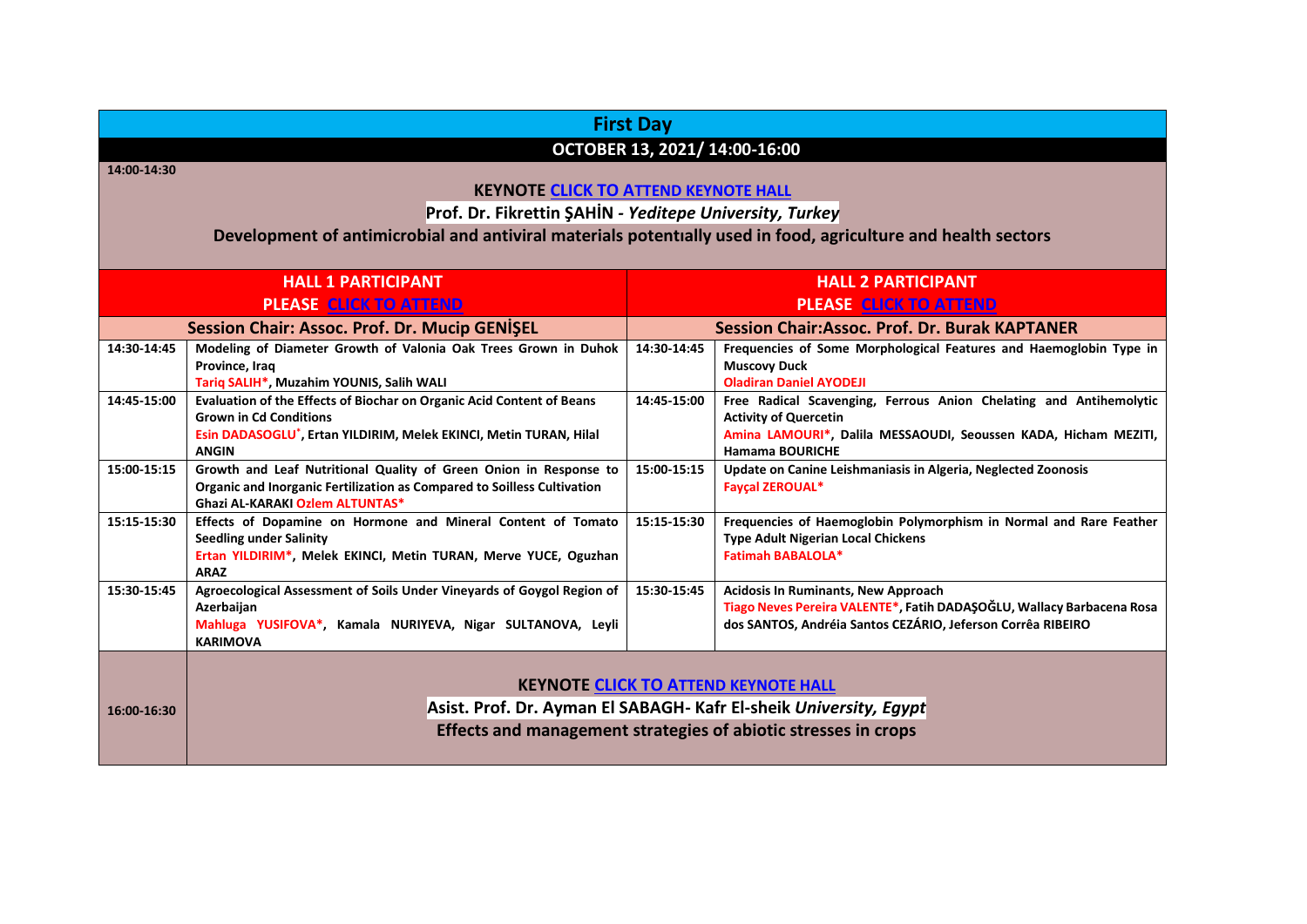| <b>First Day</b> |                                                                                                                   |             |                                                                                                      |  |
|------------------|-------------------------------------------------------------------------------------------------------------------|-------------|------------------------------------------------------------------------------------------------------|--|
|                  | OCTOBER 13, 2021/ 14:00-16:00                                                                                     |             |                                                                                                      |  |
| 14:00-14:30      |                                                                                                                   |             |                                                                                                      |  |
|                  | <b>KEYNOTE CLICK TO ATTEND KEYNOTE HALL</b>                                                                       |             |                                                                                                      |  |
|                  | Prof. Dr. Fikrettin ŞAHİN - Yeditepe University, Turkey                                                           |             |                                                                                                      |  |
|                  | Development of antimicrobial and antiviral materials potentially used in food, agriculture and health sectors     |             |                                                                                                      |  |
|                  | <b>HALL 1 PARTICIPANT</b>                                                                                         |             | <b>HALL 2 PARTICIPANT</b>                                                                            |  |
|                  | <b>PLEASE CLICK TO ATTEND</b>                                                                                     |             | <b>PLEASE CLICK TO ATTEND</b>                                                                        |  |
|                  | Session Chair: Assoc. Prof. Dr. Mucip GENISEL                                                                     |             | <b>Session Chair:Assoc. Prof. Dr. Burak KAPTANER</b>                                                 |  |
| 14:30-14:45      | Modeling of Diameter Growth of Valonia Oak Trees Grown in Duhok                                                   | 14:30-14:45 | Frequencies of Some Morphological Features and Haemoglobin Type in                                   |  |
|                  | Province, Iraq                                                                                                    |             | <b>Muscovy Duck</b>                                                                                  |  |
| 14:45-15:00      | Tariq SALIH*, Muzahim YOUNIS, Salih WALI<br>Evaluation of the Effects of Biochar on Organic Acid Content of Beans | 14:45-15:00 | <b>Oladiran Daniel AYODEJI</b><br>Free Radical Scavenging, Ferrous Anion Chelating and Antihemolytic |  |
|                  | <b>Grown in Cd Conditions</b>                                                                                     |             | <b>Activity of Quercetin</b>                                                                         |  |
|                  | Esin DADASOGLU*, Ertan YILDIRIM, Melek EKINCI, Metin TURAN, Hilal                                                 |             | Amina LAMOURI*, Dalila MESSAOUDI, Seoussen KADA, Hicham MEZITI,                                      |  |
|                  | <b>ANGIN</b>                                                                                                      |             | <b>Hamama BOURICHE</b>                                                                               |  |
| 15:00-15:15      | Growth and Leaf Nutritional Quality of Green Onion in Response to                                                 | 15:00-15:15 | Update on Canine Leishmaniasis in Algeria, Neglected Zoonosis                                        |  |
|                  | Organic and Inorganic Fertilization as Compared to Soilless Cultivation<br>Ghazi AL-KARAKI Ozlem ALTUNTAS*        |             | <b>Fayçal ZEROUAL*</b>                                                                               |  |
| 15:15-15:30      | Effects of Dopamine on Hormone and Mineral Content of Tomato                                                      | 15:15-15:30 | Frequencies of Haemoglobin Polymorphism in Normal and Rare Feather                                   |  |
|                  | <b>Seedling under Salinity</b>                                                                                    |             | <b>Type Adult Nigerian Local Chickens</b>                                                            |  |
|                  | Ertan YILDIRIM*, Melek EKINCI, Metin TURAN, Merve YUCE, Oguzhan                                                   |             | <b>Fatimah BABALOLA*</b>                                                                             |  |
| 15:30-15:45      | <b>ARAZ</b><br>Agroecological Assessment of Soils Under Vineyards of Goygol Region of                             | 15:30-15:45 | <b>Acidosis In Ruminants, New Approach</b>                                                           |  |
|                  | Azerbaijan                                                                                                        |             | Tiago Neves Pereira VALENTE*, Fatih DADAŞOĞLU, Wallacy Barbacena Rosa                                |  |
|                  | Mahluga YUSIFOVA*, Kamala NURIYEVA, Nigar SULTANOVA, Leyli<br><b>KARIMOVA</b>                                     |             | dos SANTOS, Andréia Santos CEZÁRIO, Jeferson Corrêa RIBEIRO                                          |  |
|                  |                                                                                                                   |             |                                                                                                      |  |
|                  |                                                                                                                   |             | <b>KEYNOTE CLICK TO ATTEND KEYNOTE HALL</b>                                                          |  |
| 16:00-16:30      | Asist. Prof. Dr. Ayman El SABAGH- Kafr El-sheik University, Egypt                                                 |             |                                                                                                      |  |
|                  | Effects and management strategies of abiotic stresses in crops                                                    |             |                                                                                                      |  |
|                  |                                                                                                                   |             |                                                                                                      |  |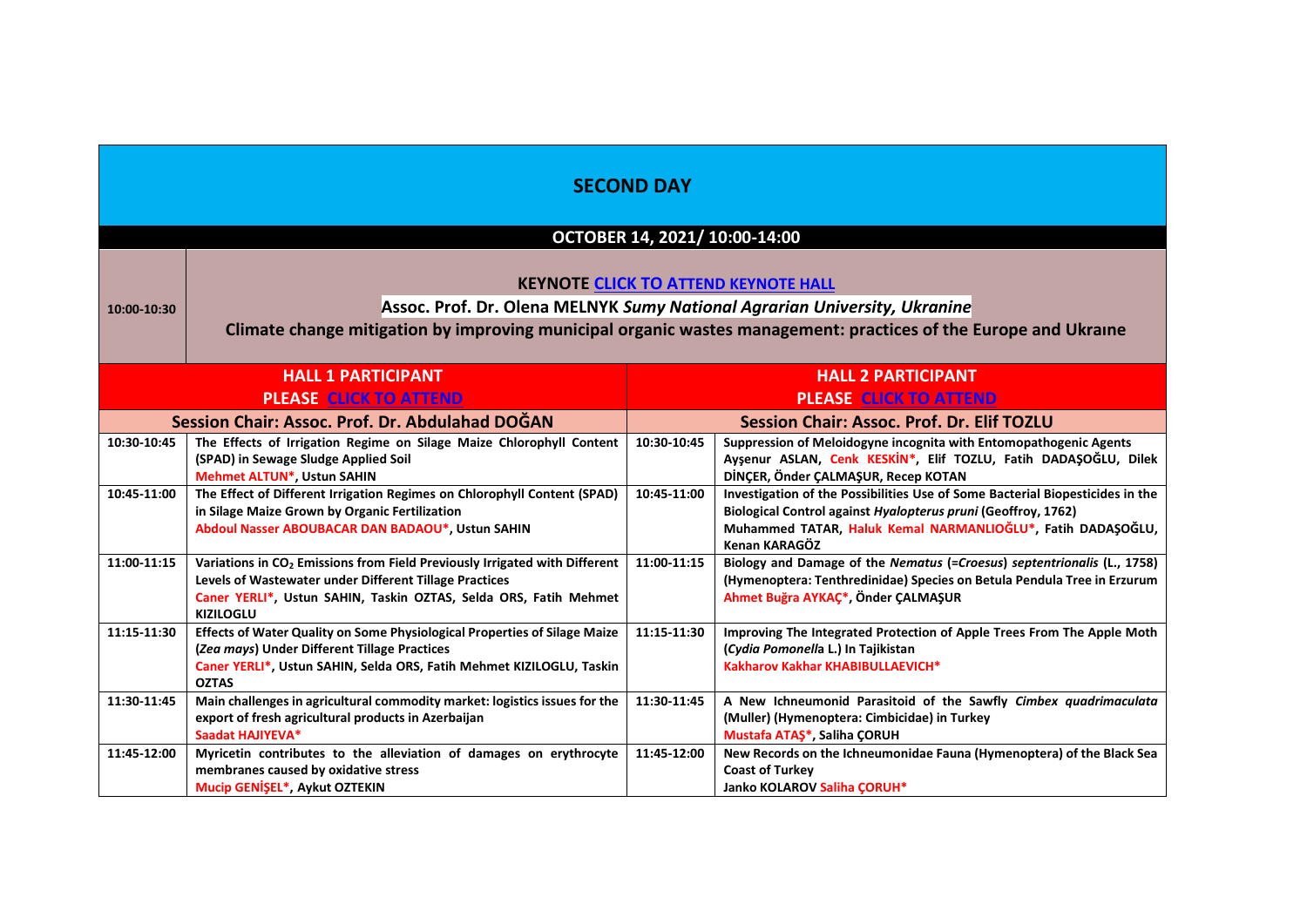|             | <b>SECOND DAY</b><br>OCTOBER 14, 2021/ 10:00-14:00                                                                                                                                                                                          |                                                   |                                                                                                                                                                                                                                |  |
|-------------|---------------------------------------------------------------------------------------------------------------------------------------------------------------------------------------------------------------------------------------------|---------------------------------------------------|--------------------------------------------------------------------------------------------------------------------------------------------------------------------------------------------------------------------------------|--|
| 10:00-10:30 | <b>KEYNOTE CLICK TO ATTEND KEYNOTE HALL</b><br>Assoc. Prof. Dr. Olena MELNYK Sumy National Agrarian University, Ukranine<br>Climate change mitigation by improving municipal organic wastes management: practices of the Europe and Ukraine |                                                   |                                                                                                                                                                                                                                |  |
|             | <b>HALL 1 PARTICIPANT</b><br><b>PLEASE CLICK TO ATTEND</b>                                                                                                                                                                                  |                                                   | <b>HALL 2 PARTICIPANT</b><br><b>PLEASE CLICK TO ATTEND</b>                                                                                                                                                                     |  |
|             | Session Chair: Assoc. Prof. Dr. Abdulahad DOĞAN                                                                                                                                                                                             | <b>Session Chair: Assoc. Prof. Dr. Elif TOZLU</b> |                                                                                                                                                                                                                                |  |
| 10:30-10:45 | The Effects of Irrigation Regime on Silage Maize Chlorophyll Content<br>(SPAD) in Sewage Sludge Applied Soil<br><b>Mehmet ALTUN*, Ustun SAHIN</b>                                                                                           | 10:30-10:45                                       | Suppression of Meloidogyne incognita with Entomopathogenic Agents<br>Ayşenur ASLAN, Cenk KESKİN*, Elif TOZLU, Fatih DADAŞOĞLU, Dilek<br>DİNÇER, Önder ÇALMAŞUR, Recep KOTAN                                                    |  |
| 10:45-11:00 | The Effect of Different Irrigation Regimes on Chlorophyll Content (SPAD)<br>in Silage Maize Grown by Organic Fertilization<br>Abdoul Nasser ABOUBACAR DAN BADAOU*, Ustun SAHIN                                                              | 10:45-11:00                                       | Investigation of the Possibilities Use of Some Bacterial Biopesticides in the<br>Biological Control against Hyalopterus pruni (Geoffroy, 1762)<br>Muhammed TATAR, Haluk Kemal NARMANLIOĞLU*, Fatih DADAŞOĞLU,<br>Kenan KARAGÖZ |  |
| 11:00-11:15 | Variations in CO <sub>2</sub> Emissions from Field Previously Irrigated with Different<br>Levels of Wastewater under Different Tillage Practices<br>Caner YERLI*, Ustun SAHIN, Taskin OZTAS, Selda ORS, Fatih Mehmet<br><b>KIZILOGLU</b>    | 11:00-11:15                                       | Biology and Damage of the Nematus (=Croesus) septentrionalis (L., 1758)<br>(Hymenoptera: Tenthredinidae) Species on Betula Pendula Tree in Erzurum<br>Ahmet Buğra AYKAÇ <sup>*</sup> , Önder ÇALMAŞUR                          |  |
| 11:15-11:30 | Effects of Water Quality on Some Physiological Properties of Silage Maize<br>(Zea mays) Under Different Tillage Practices<br>Caner YERLI*, Ustun SAHIN, Selda ORS, Fatih Mehmet KIZILOGLU, Taskin<br><b>OZTAS</b>                           | 11:15-11:30                                       | Improving The Integrated Protection of Apple Trees From The Apple Moth<br>(Cydia Pomonella L.) In Tajikistan<br>Kakharov Kakhar KHABIBULLAEVICH*                                                                               |  |
| 11:30-11:45 | Main challenges in agricultural commodity market: logistics issues for the<br>export of fresh agricultural products in Azerbaijan<br>Saadat HAJIYEVA*                                                                                       | 11:30-11:45                                       | A New Ichneumonid Parasitoid of the Sawfly Cimbex quadrimaculata<br>(Muller) (Hymenoptera: Cimbicidae) in Turkey<br>Mustafa ATAŞ*, Saliha ÇORUH                                                                                |  |
| 11:45-12:00 | Myricetin contributes to the alleviation of damages on erythrocyte<br>membranes caused by oxidative stress<br>Mucip GENIŞEL*, Aykut OZTEKIN                                                                                                 | 11:45-12:00                                       | New Records on the Ichneumonidae Fauna (Hymenoptera) of the Black Sea<br><b>Coast of Turkey</b><br>Janko KOLAROV Saliha ÇORUH*                                                                                                 |  |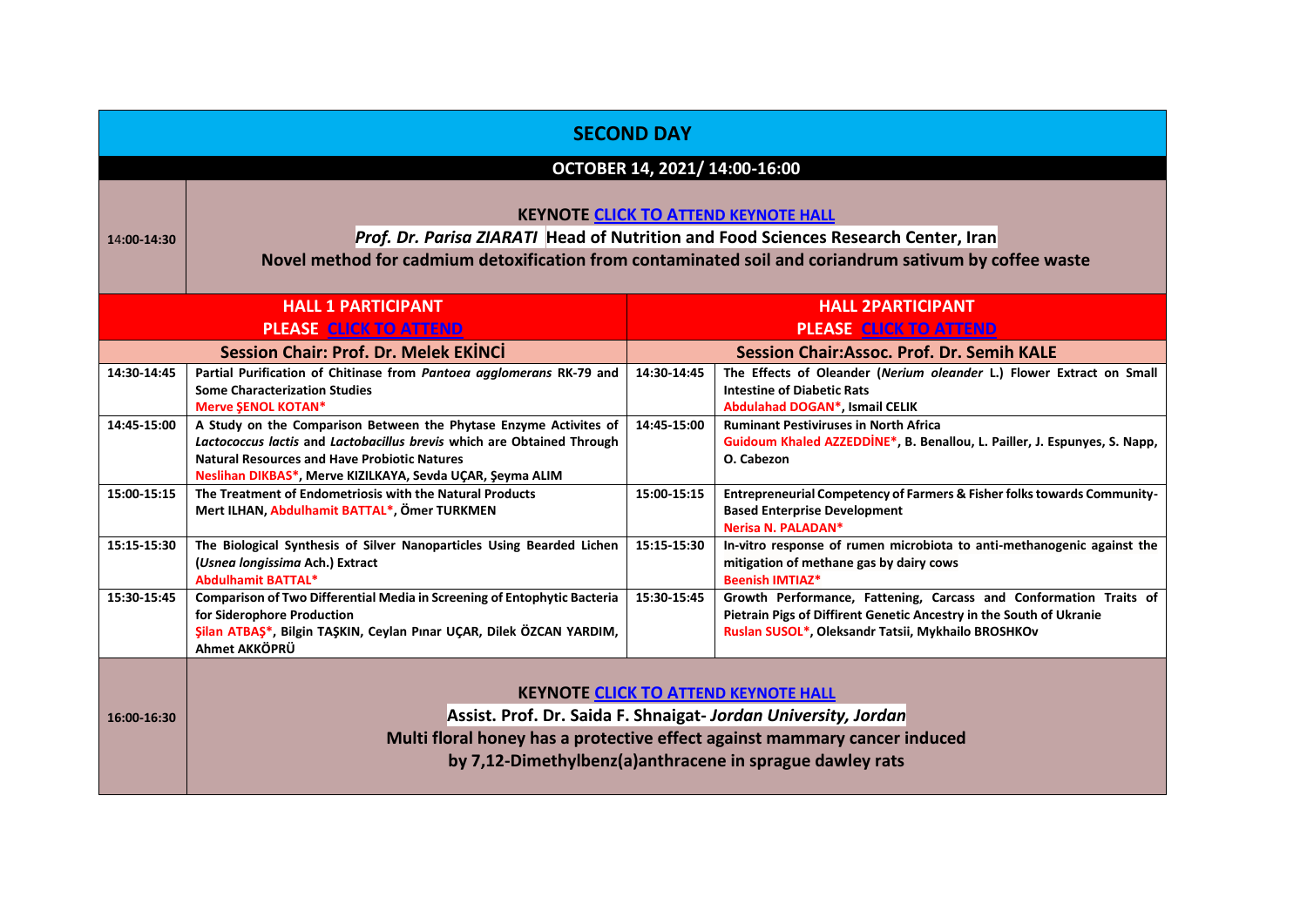| <b>SECOND DAY</b>                                        |                                                                                                                                           |             |                                                                                                                                             |
|----------------------------------------------------------|-------------------------------------------------------------------------------------------------------------------------------------------|-------------|---------------------------------------------------------------------------------------------------------------------------------------------|
|                                                          |                                                                                                                                           |             | OCTOBER 14, 2021/ 14:00-16:00                                                                                                               |
|                                                          |                                                                                                                                           |             |                                                                                                                                             |
|                                                          |                                                                                                                                           |             | <b>KEYNOTE CLICK TO ATTEND KEYNOTE HALL</b>                                                                                                 |
| 14:00-14:30                                              |                                                                                                                                           |             | Prof. Dr. Parisa ZIARATI Head of Nutrition and Food Sciences Research Center, Iran                                                          |
|                                                          |                                                                                                                                           |             | Novel method for cadmium detoxification from contaminated soil and coriandrum sativum by coffee waste                                       |
|                                                          | <b>HALL 1 PARTICIPANT</b>                                                                                                                 |             | <b>HALL 2PARTICIPANT</b>                                                                                                                    |
|                                                          | <b>PLEASE CLICK TO ATTEND</b>                                                                                                             |             | <b>PLEASE CLICK TO ATTEND</b>                                                                                                               |
|                                                          | <b>Session Chair: Prof. Dr. Melek EKİNCİ</b>                                                                                              |             | <b>Session Chair:Assoc. Prof. Dr. Semih KALE</b>                                                                                            |
| 14:30-14:45                                              | Partial Purification of Chitinase from Pantoea agglomerans RK-79 and<br><b>Some Characterization Studies</b><br><b>Merve SENOL KOTAN*</b> | 14:30-14:45 | The Effects of Oleander (Nerium oleander L.) Flower Extract on Small<br><b>Intestine of Diabetic Rats</b><br>Abdulahad DOGAN*, Ismail CELIK |
| 14:45-15:00                                              | A Study on the Comparison Between the Phytase Enzyme Activites of                                                                         | 14:45-15:00 | <b>Ruminant Pestiviruses in North Africa</b>                                                                                                |
|                                                          | Lactococcus lactis and Lactobacillus brevis which are Obtained Through                                                                    |             | Guidoum Khaled AZZEDDINE*, B. Benallou, L. Pailler, J. Espunyes, S. Napp,                                                                   |
|                                                          | <b>Natural Resources and Have Probiotic Natures</b><br>Neslihan DIKBAS*, Merve KIZILKAYA, Sevda UÇAR, Şeyma ALIM                          |             | O. Cabezon                                                                                                                                  |
| 15:00-15:15                                              | The Treatment of Endometriosis with the Natural Products                                                                                  | 15:00-15:15 | Entrepreneurial Competency of Farmers & Fisher folks towards Community-                                                                     |
|                                                          | Mert ILHAN, Abdulhamit BATTAL*, Ömer TURKMEN                                                                                              |             | <b>Based Enterprise Development</b><br>Nerisa N. PALADAN*                                                                                   |
| 15:15-15:30                                              | The Biological Synthesis of Silver Nanoparticles Using Bearded Lichen                                                                     | 15:15-15:30 | In-vitro response of rumen microbiota to anti-methanogenic against the                                                                      |
|                                                          | (Usnea longissima Ach.) Extract<br><b>Abdulhamit BATTAL*</b>                                                                              |             | mitigation of methane gas by dairy cows<br><b>Beenish IMTIAZ*</b>                                                                           |
| 15:30-15:45                                              | Comparison of Two Differential Media in Screening of Entophytic Bacteria                                                                  | 15:30-15:45 | Growth Performance, Fattening, Carcass and Conformation Traits of                                                                           |
|                                                          | for Siderophore Production<br>Şilan ATBAŞ*, Bilgin TAŞKIN, Ceylan Pınar UÇAR, Dilek ÖZCAN YARDIM,                                         |             | Pietrain Pigs of Diffirent Genetic Ancestry in the South of Ukranie                                                                         |
|                                                          | Ahmet AKKÖPRÜ                                                                                                                             |             | Ruslan SUSOL*, Oleksandr Tatsii, Mykhailo BROSHKOv                                                                                          |
|                                                          |                                                                                                                                           |             |                                                                                                                                             |
|                                                          |                                                                                                                                           |             | <b>KEYNOTE CLICK TO ATTEND KEYNOTE HALL</b>                                                                                                 |
| 16:00-16:30                                              |                                                                                                                                           |             | Assist. Prof. Dr. Saida F. Shnaigat- Jordan University, Jordan                                                                              |
|                                                          |                                                                                                                                           |             | Multi floral honey has a protective effect against mammary cancer induced                                                                   |
| by 7,12-Dimethylbenz(a)anthracene in sprague dawley rats |                                                                                                                                           |             |                                                                                                                                             |
|                                                          |                                                                                                                                           |             |                                                                                                                                             |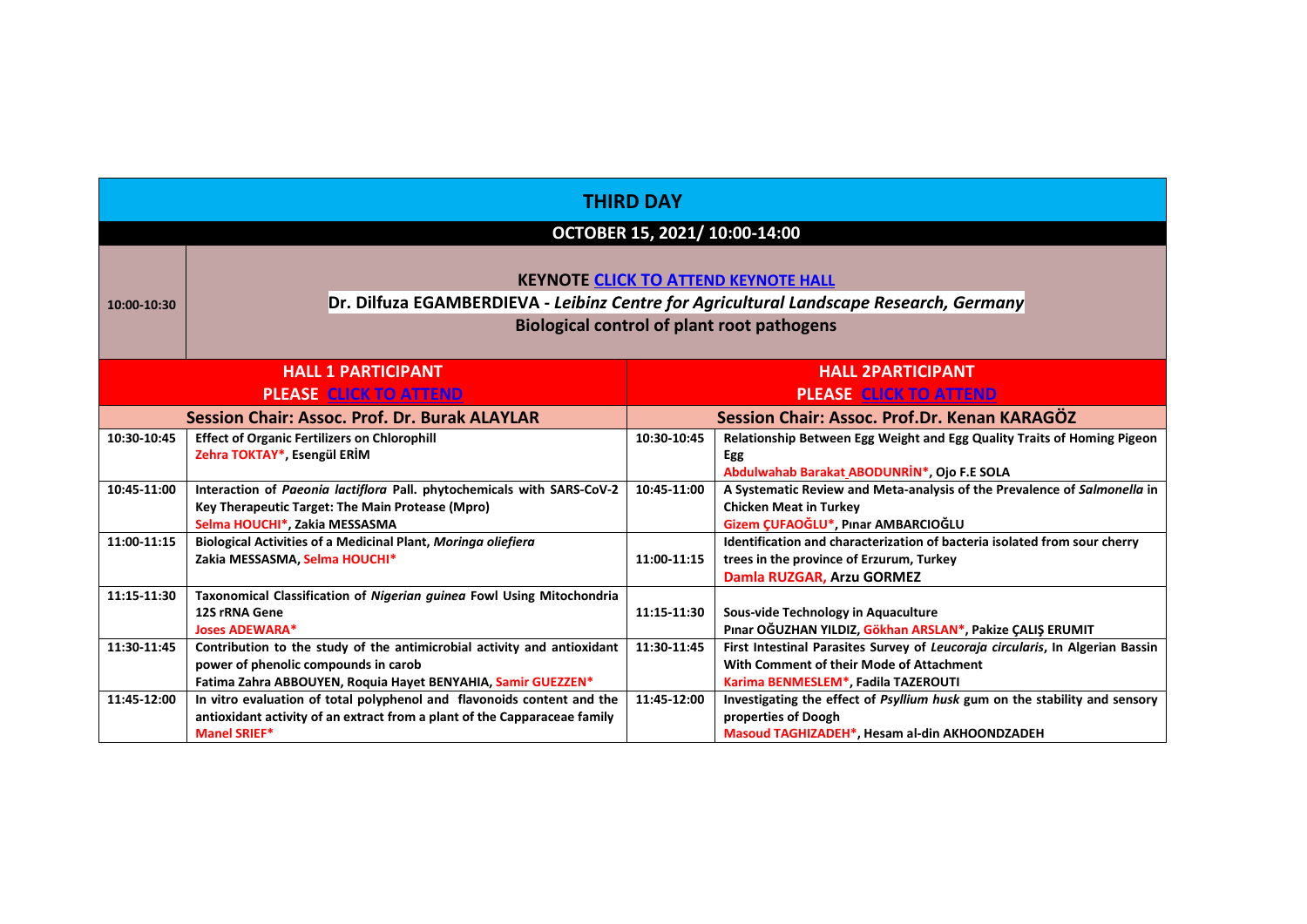| <b>THIRD DAY</b>              |                                                                                                                                                                                            |             |                                                                                                                                                                  |  |
|-------------------------------|--------------------------------------------------------------------------------------------------------------------------------------------------------------------------------------------|-------------|------------------------------------------------------------------------------------------------------------------------------------------------------------------|--|
|                               | OCTOBER 15, 2021/ 10:00-14:00                                                                                                                                                              |             |                                                                                                                                                                  |  |
| 10:00-10:30                   | <b>KEYNOTE CLICK TO ATTEND KEYNOTE HALL</b><br>Dr. Dilfuza EGAMBERDIEVA - Leibinz Centre for Agricultural Landscape Research, Germany<br><b>Biological control of plant root pathogens</b> |             |                                                                                                                                                                  |  |
|                               | <b>HALL 1 PARTICIPANT</b><br><b>HALL 2PARTICIPANT</b>                                                                                                                                      |             |                                                                                                                                                                  |  |
| <b>PLEASE CLICK TO ATTEND</b> |                                                                                                                                                                                            |             | <b>PLEASE CLICK TO ATTEND</b>                                                                                                                                    |  |
|                               | <b>Session Chair: Assoc. Prof. Dr. Burak ALAYLAR</b>                                                                                                                                       |             | Session Chair: Assoc. Prof.Dr. Kenan KARAGÖZ                                                                                                                     |  |
| 10:30-10:45                   | <b>Effect of Organic Fertilizers on Chlorophill</b><br>Zehra TOKTAY*, Esengül ERİM                                                                                                         | 10:30-10:45 | Relationship Between Egg Weight and Egg Quality Traits of Homing Pigeon<br>Egg<br>Abdulwahab Barakat ABODUNRIN*, Ojo F.E SOLA                                    |  |
| 10:45-11:00                   | Interaction of Paeonia lactiflora Pall. phytochemicals with SARS-CoV-2<br>Key Therapeutic Target: The Main Protease (Mpro)<br>Selma HOUCHI*, Zakia MESSASMA                                | 10:45-11:00 | A Systematic Review and Meta-analysis of the Prevalence of Salmonella in<br><b>Chicken Meat in Turkey</b><br>Gizem ÇUFAOĞLU*, Pınar AMBARCIOĞLU                  |  |
| 11:00-11:15                   | <b>Biological Activities of a Medicinal Plant, Moringa oliefiera</b><br>Zakia MESSASMA, Selma HOUCHI*                                                                                      | 11:00-11:15 | Identification and characterization of bacteria isolated from sour cherry<br>trees in the province of Erzurum, Turkey<br>Damla RUZGAR, Arzu GORMEZ               |  |
| 11:15-11:30                   | Taxonomical Classification of Nigerian guinea Fowl Using Mitochondria<br>12S rRNA Gene<br><b>Joses ADEWARA*</b>                                                                            | 11:15-11:30 | Sous-vide Technology in Aquaculture<br>Pınar OĞUZHAN YILDIZ, Gökhan ARSLAN*, Pakize ÇALIŞ ERUMIT                                                                 |  |
| 11:30-11:45                   | Contribution to the study of the antimicrobial activity and antioxidant<br>power of phenolic compounds in carob<br>Fatima Zahra ABBOUYEN, Roquia Hayet BENYAHIA, Samir GUEZZEN*            | 11:30-11:45 | First Intestinal Parasites Survey of Leucoraja circularis, In Algerian Bassin<br>With Comment of their Mode of Attachment<br>Karima BENMESLEM*, Fadila TAZEROUTI |  |
| 11:45-12:00                   | In vitro evaluation of total polyphenol and flavonoids content and the<br>antioxidant activity of an extract from a plant of the Capparaceae family<br><b>Manel SRIEF*</b>                 | 11:45-12:00 | Investigating the effect of Psyllium husk gum on the stability and sensory<br>properties of Doogh<br>Masoud TAGHIZADEH*, Hesam al-din AKHOONDZADEH               |  |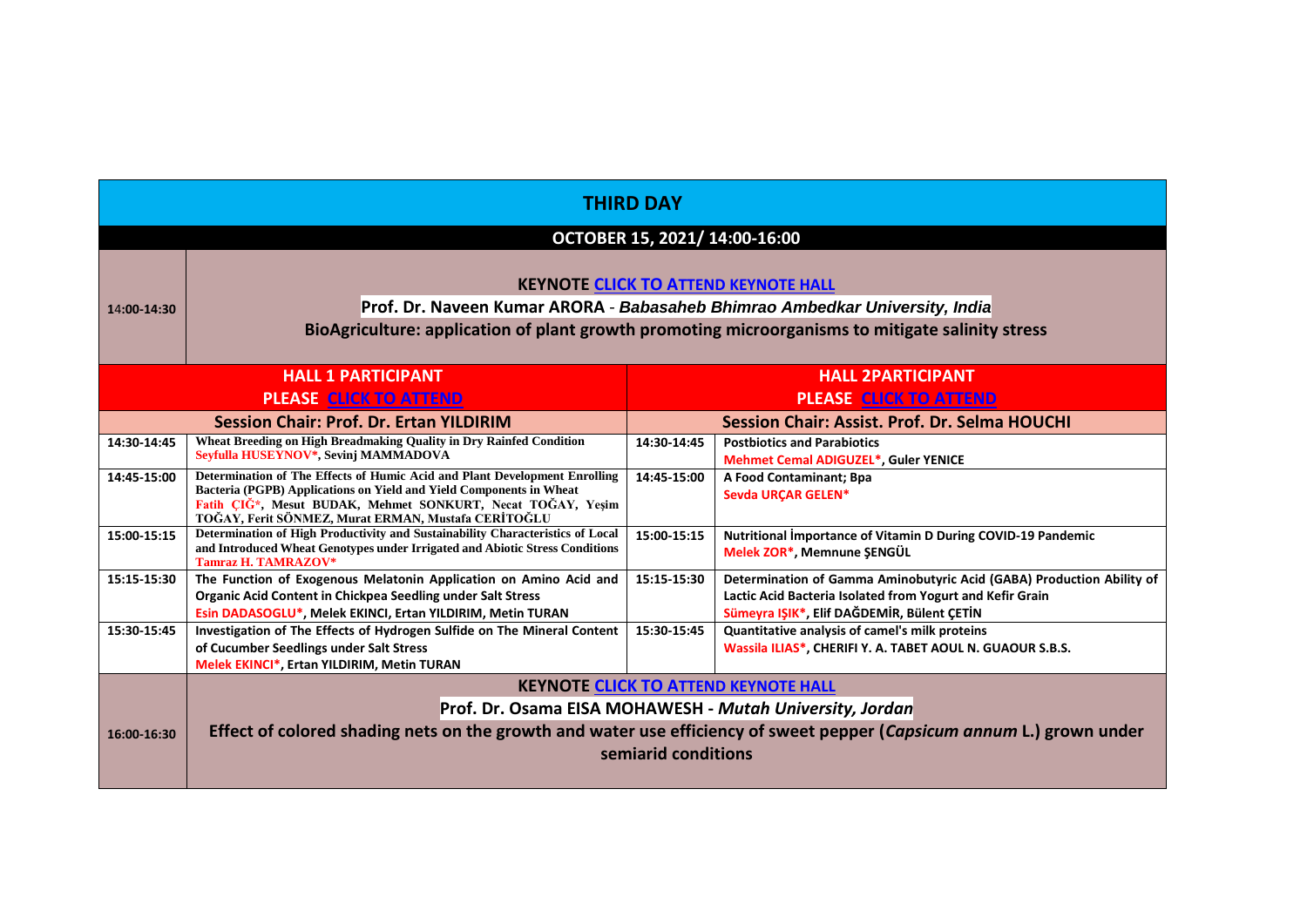| <b>THIRD DAY</b>                                                                                                                          |                                                                                                                                                                                                                                                                                      |                     |                                                                                                                                                                                  |  |
|-------------------------------------------------------------------------------------------------------------------------------------------|--------------------------------------------------------------------------------------------------------------------------------------------------------------------------------------------------------------------------------------------------------------------------------------|---------------------|----------------------------------------------------------------------------------------------------------------------------------------------------------------------------------|--|
|                                                                                                                                           |                                                                                                                                                                                                                                                                                      |                     |                                                                                                                                                                                  |  |
|                                                                                                                                           |                                                                                                                                                                                                                                                                                      |                     | OCTOBER 15, 2021/ 14:00-16:00                                                                                                                                                    |  |
| <b>KEYNOTE CLICK TO ATTEND KEYNOTE HALL</b><br>Prof. Dr. Naveen Kumar ARORA - Babasaheb Bhimrao Ambedkar University, India<br>14:00-14:30 |                                                                                                                                                                                                                                                                                      |                     |                                                                                                                                                                                  |  |
|                                                                                                                                           |                                                                                                                                                                                                                                                                                      |                     | BioAgriculture: application of plant growth promoting microorganisms to mitigate salinity stress                                                                                 |  |
|                                                                                                                                           | <b>HALL 1 PARTICIPANT</b>                                                                                                                                                                                                                                                            |                     | <b>HALL 2PARTICIPANT</b>                                                                                                                                                         |  |
|                                                                                                                                           | <b>PLEASE CLICK TO ATTEND</b>                                                                                                                                                                                                                                                        |                     | <b>PLEASE CLICK TO ATTEND</b>                                                                                                                                                    |  |
| <b>Session Chair: Prof. Dr. Ertan YILDIRIM</b>                                                                                            |                                                                                                                                                                                                                                                                                      |                     | <b>Session Chair: Assist. Prof. Dr. Selma HOUCHI</b>                                                                                                                             |  |
| 14:30-14:45                                                                                                                               | Wheat Breeding on High Breadmaking Quality in Dry Rainfed Condition<br>Sevfulla HUSEYNOV*, Sevinj MAMMADOVA                                                                                                                                                                          | 14:30-14:45         | <b>Postbiotics and Parabiotics</b><br><b>Mehmet Cemal ADIGUZEL*, Guler YENICE</b>                                                                                                |  |
| 14:45-15:00                                                                                                                               | Determination of The Effects of Humic Acid and Plant Development Enrolling<br>Bacteria (PGPB) Applications on Yield and Yield Components in Wheat<br>Fatih CIG <sup>*</sup> , Mesut BUDAK, Mehmet SONKURT, Necat TOGAY, Yeşim<br>TOĞAY, Ferit SÖNMEZ, Murat ERMAN, Mustafa CERİTOĞLU | 14:45-15:00         | A Food Contaminant; Bpa<br>Sevda URCAR GELEN*                                                                                                                                    |  |
| 15:00-15:15                                                                                                                               | Determination of High Productivity and Sustainability Characteristics of Local<br>and Introduced Wheat Genotypes under Irrigated and Abiotic Stress Conditions<br><b>Tamraz H. TAMRAZOV*</b>                                                                                         | 15:00-15:15         | Nutritional Importance of Vitamin D During COVID-19 Pandemic<br>Melek ZOR*, Memnune SENGÜL                                                                                       |  |
| 15:15-15:30                                                                                                                               | The Function of Exogenous Melatonin Application on Amino Acid and<br><b>Organic Acid Content in Chickpea Seedling under Salt Stress</b><br>Esin DADASOGLU*, Melek EKINCI, Ertan YILDIRIM, Metin TURAN                                                                                | 15:15-15:30         | Determination of Gamma Aminobutyric Acid (GABA) Production Ability of<br>Lactic Acid Bacteria Isolated from Yogurt and Kefir Grain<br>Sümeyra IŞIK*, Elif DAĞDEMİR, Bülent ÇETİN |  |
| 15:30-15:45                                                                                                                               | Investigation of The Effects of Hydrogen Sulfide on The Mineral Content<br>of Cucumber Seedlings under Salt Stress<br>Melek EKINCI*, Ertan YILDIRIM, Metin TURAN                                                                                                                     | 15:30-15:45         | Quantitative analysis of camel's milk proteins<br>Wassila ILIAS*, CHERIFI Y. A. TABET AOUL N. GUAOUR S.B.S.                                                                      |  |
|                                                                                                                                           |                                                                                                                                                                                                                                                                                      |                     | <b>KEYNOTE CLICK TO ATTEND KEYNOTE HALL</b>                                                                                                                                      |  |
|                                                                                                                                           |                                                                                                                                                                                                                                                                                      |                     | Prof. Dr. Osama EISA MOHAWESH - Mutah University, Jordan                                                                                                                         |  |
| Effect of colored shading nets on the growth and water use efficiency of sweet pepper (Capsicum annum L.) grown under<br>16:00-16:30      |                                                                                                                                                                                                                                                                                      |                     |                                                                                                                                                                                  |  |
|                                                                                                                                           |                                                                                                                                                                                                                                                                                      | semiarid conditions |                                                                                                                                                                                  |  |
|                                                                                                                                           |                                                                                                                                                                                                                                                                                      |                     |                                                                                                                                                                                  |  |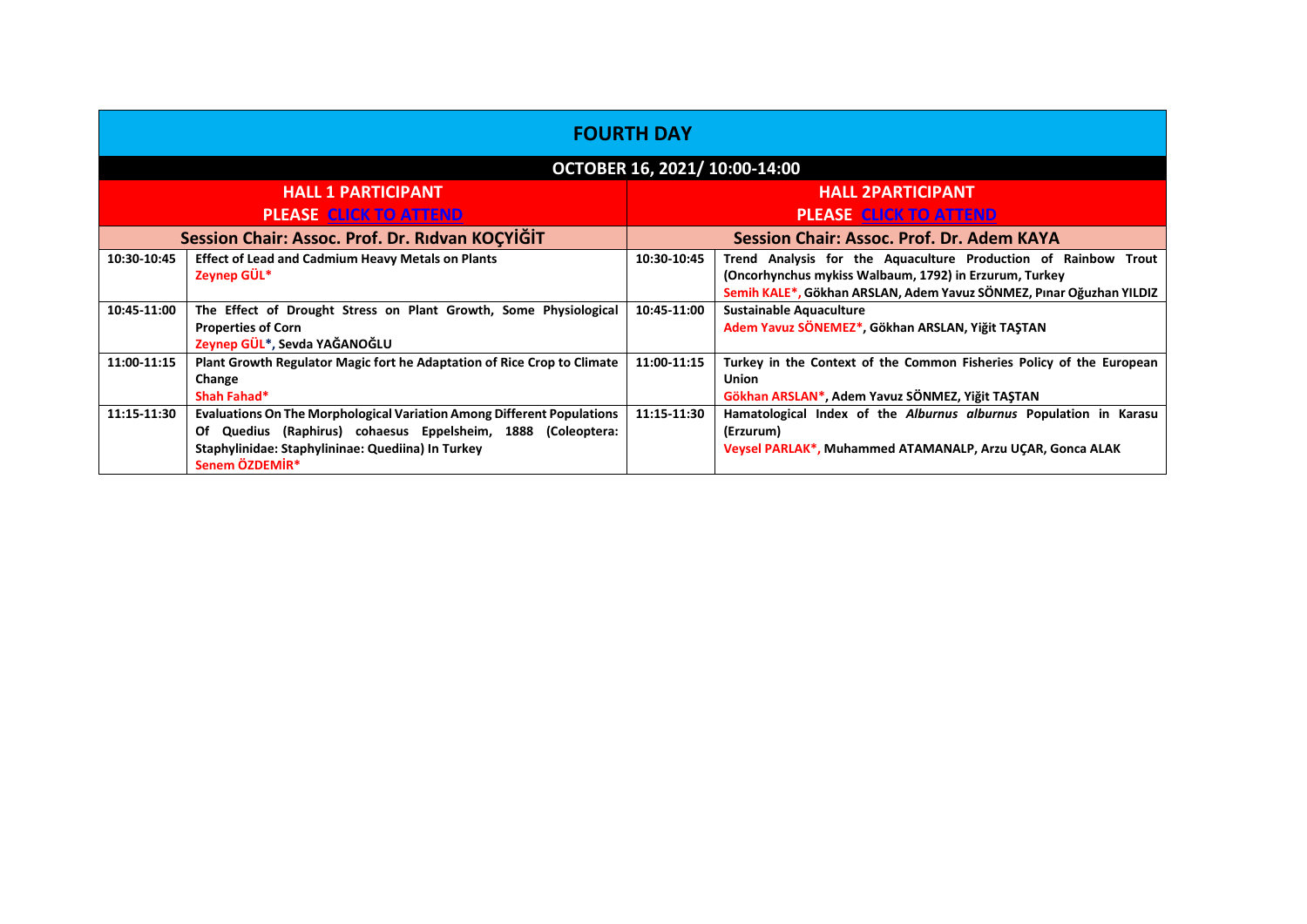| <b>FOURTH DAY</b>                               |                                                                                                                                                                                                               |                                           |                                                                                                                                                                                                 |
|-------------------------------------------------|---------------------------------------------------------------------------------------------------------------------------------------------------------------------------------------------------------------|-------------------------------------------|-------------------------------------------------------------------------------------------------------------------------------------------------------------------------------------------------|
|                                                 |                                                                                                                                                                                                               |                                           | OCTOBER 16, 2021/ 10:00-14:00                                                                                                                                                                   |
|                                                 | <b>HALL 1 PARTICIPANT</b>                                                                                                                                                                                     |                                           | <b>HALL 2PARTICIPANT</b>                                                                                                                                                                        |
| <b>PLEASE CLICK TO ATTEND</b>                   |                                                                                                                                                                                                               |                                           | <b>PLEASE CLICK TO ATTEND</b>                                                                                                                                                                   |
| Session Chair: Assoc. Prof. Dr. Rıdvan KOÇYİĞİT |                                                                                                                                                                                                               | Session Chair: Assoc. Prof. Dr. Adem KAYA |                                                                                                                                                                                                 |
| 10:30-10:45                                     | <b>Effect of Lead and Cadmium Heavy Metals on Plants</b><br>Zeynep GÜL*                                                                                                                                       | 10:30-10:45                               | Trend Analysis for the Aquaculture Production of Rainbow Trout<br>(Oncorhynchus mykiss Walbaum, 1792) in Erzurum, Turkey<br>Semih KALE*, Gökhan ARSLAN, Adem Yavuz SÖNMEZ, Pınar Oğuzhan YILDIZ |
| 10:45-11:00                                     | The Effect of Drought Stress on Plant Growth, Some Physiological<br><b>Properties of Corn</b><br>Zeynep GÜL*, Sevda YAĞANOĞLU                                                                                 | 10:45-11:00                               | <b>Sustainable Aquaculture</b><br>Adem Yavuz SÖNEMEZ*, Gökhan ARSLAN, Yiğit TAŞTAN                                                                                                              |
| 11:00-11:15                                     | Plant Growth Regulator Magic fort he Adaptation of Rice Crop to Climate<br>Change<br>Shah Fahad*                                                                                                              | 11:00-11:15                               | Turkey in the Context of the Common Fisheries Policy of the European<br><b>Union</b><br>Gökhan ARSLAN*, Adem Yavuz SÖNMEZ, Yiğit TASTAN                                                         |
| 11:15-11:30                                     | Evaluations On The Morphological Variation Among Different Populations<br>Of Quedius (Raphirus) cohaesus Eppelsheim, 1888 (Coleoptera:<br>Staphylinidae: Staphylininae: Quediina) In Turkey<br>Senem ÖZDEMİR* | 11:15-11:30                               | Hamatological Index of the Alburnus alburnus Population in Karasu<br>(Erzurum)<br>Veysel PARLAK*, Muhammed ATAMANALP, Arzu UÇAR, Gonca ALAK                                                     |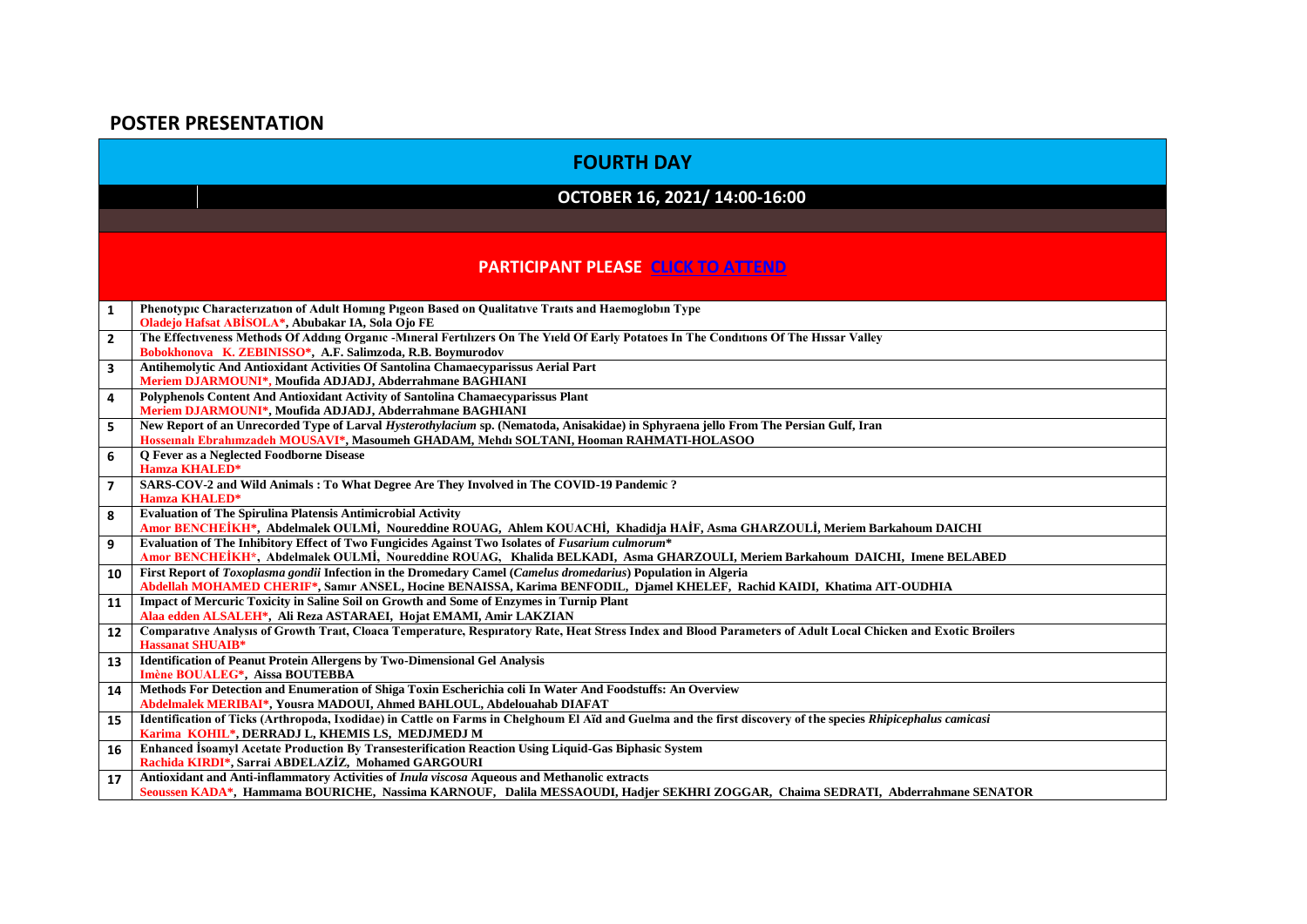## **POSTER PRESENTATION**

|                         | <b>FOURTH DAY</b>                                                                                                                                                                                                                          |
|-------------------------|--------------------------------------------------------------------------------------------------------------------------------------------------------------------------------------------------------------------------------------------|
|                         | OCTOBER 16, 2021/ 14:00-16:00                                                                                                                                                                                                              |
|                         |                                                                                                                                                                                                                                            |
|                         | <b>PARTICIPANT PLEASE CLICK TO ATTEND</b>                                                                                                                                                                                                  |
| $\mathbf{1}$            | Phenotypic Characterization of Adult Homing Pigeon Based on Qualitative Traits and Haemoglobin Type<br>Oladejo Hafsat ABISOLA*, Abubakar IA, Sola Ojo FE                                                                                   |
| $\overline{2}$          | The Effectiveness Methods Of Adding Organic -Mineral Fertilizers On The Yield Of Early Potatoes In The Conditions Of The Hissar Valley<br>Bobokhonova K. ZEBINISSO*, A.F. Salimzoda, R.B. Boymurodov                                       |
| $\overline{\mathbf{3}}$ | Antihemolytic And Antioxidant Activities Of Santolina Chamaecyparissus Aerial Part<br>Meriem DJARMOUNI*, Moufida ADJADJ, Abderrahmane BAGHIANI                                                                                             |
| 4                       | Polyphenols Content And Antioxidant Activity of Santolina Chamaecyparissus Plant<br>Meriem DJARMOUNI*, Moufida ADJADJ, Abderrahmane BAGHIANI                                                                                               |
| 5                       | New Report of an Unrecorded Type of Larval Hysterothylacium sp. (Nematoda, Anisakidae) in Sphyraena jello From The Persian Gulf, Iran<br>Hossenalı Ebrahimzadeh MOUSAVI*, Masoumeh GHADAM, Mehdi SOLTANI, Hooman RAHMATI-HOLASOO           |
| 6                       | O Fever as a Neglected Foodborne Disease<br><b>Hamza KHALED*</b>                                                                                                                                                                           |
| $\overline{7}$          | SARS-COV-2 and Wild Animals : To What Degree Are They Involved in The COVID-19 Pandemic?<br><b>Hamza KHALED*</b>                                                                                                                           |
| 8                       | <b>Evaluation of The Spirulina Platensis Antimicrobial Activity</b><br>Amor BENCHEİKH*, Abdelmalek OULMİ, Noureddine ROUAG, Ahlem KOUACHİ, Khadidja HAİF, Asma GHARZOULİ, Meriem Barkahoum DAICHI                                          |
| 9                       | Evaluation of The Inhibitory Effect of Two Fungicides Against Two Isolates of Fusarium culmorum*<br>Amor BENCHEIKH*, Abdelmalek OULMI, Noureddine ROUAG, Khalida BELKADI, Asma GHARZOULI, Meriem Barkahoum DAICHI, Imene BELABED           |
| 10                      | First Report of Toxoplasma gondii Infection in the Dromedary Camel (Camelus dromedarius) Population in Algeria<br>Abdellah MOHAMED CHERIF*, Samır ANSEL, Hocine BENAISSA, Karima BENFODIL, Djamel KHELEF, Rachid KAIDI, Khatima AIT-OUDHIA |
| 11                      | Impact of Mercuric Toxicity in Saline Soil on Growth and Some of Enzymes in Turnip Plant<br>Alaa edden ALSALEH*, Ali Reza ASTARAEI, Hojat EMAMI, Amir LAKZIAN                                                                              |
| 12                      | Comparative Analysis of Growth Trait, Cloaca Temperature, Respiratory Rate, Heat Stress Index and Blood Parameters of Adult Local Chicken and Exotic Broilers<br><b>Hassanat SHUAIB*</b>                                                   |
| 13                      | <b>Identification of Peanut Protein Allergens by Two-Dimensional Gel Analysis</b><br>Imène BOUALEG*, Aissa BOUTEBBA                                                                                                                        |
| 14                      | Methods For Detection and Enumeration of Shiga Toxin Escherichia coli In Water And Foodstuffs: An Overview<br>Abdelmalek MERIBAI*, Yousra MADOUI, Ahmed BAHLOUL, Abdelouahab DIAFAT                                                        |
| 15                      | Identification of Ticks (Arthropoda, Ixodidae) in Cattle on Farms in Chelghoum El Aïd and Guelma and the first discovery of the species Rhipicephalus camicasi<br>Karima KOHIL*, DERRADJ L, KHEMIS LS, MEDJMEDJ M                          |
| 16                      | Enhanced Isoamyl Acetate Production By Transesterification Reaction Using Liquid-Gas Biphasic System<br>Rachida KIRDI*, Sarrai ABDELAZIZ, Mohamed GARGOURI                                                                                 |
| 17                      | Antioxidant and Anti-inflammatory Activities of Inula viscosa Aqueous and Methanolic extracts<br>Seoussen KADA*, Hammama BOURICHE, Nassima KARNOUF, Dalila MESSAOUDI, Hadjer SEKHRI ZOGGAR, Chaima SEDRATI, Abderrahmane SENATOR           |